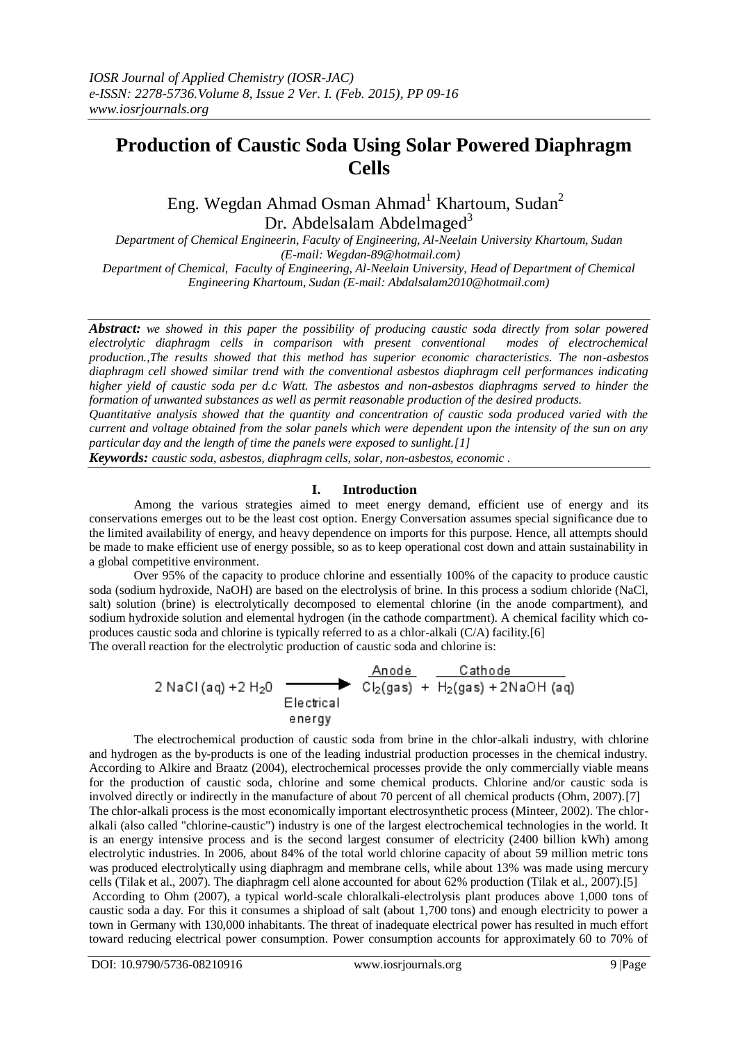# **Production of Caustic Soda Using Solar Powered Diaphragm Cells**

Eng. Wegdan Ahmad Osman Ahmad<sup>1</sup> Khartoum, Sudan<sup>2</sup> Dr. Abdelsalam Abdelmaged<sup>3</sup>

*Department of Chemical Engineerin, Faculty of Engineering, Al-Neelain University Khartoum, Sudan (E-mail: Wegdan-89@hotmail.com)*

*Department of Chemical, Faculty of Engineering, Al-Neelain University, Head of Department of Chemical Engineering Khartoum, Sudan (E-mail: Abdalsalam2010@hotmail.com)*

*Abstract: we showed in this paper the possibility of producing caustic soda directly from solar powered electrolytic diaphragm cells in comparison with present conventional modes of electrochemical production.,The results showed that this method has superior economic characteristics. The non-asbestos diaphragm cell showed similar trend with the conventional asbestos diaphragm cell performances indicating higher yield of caustic soda per d.c Watt. The asbestos and non-asbestos diaphragms served to hinder the formation of unwanted substances as well as permit reasonable production of the desired products.*

*Quantitative analysis showed that the quantity and concentration of caustic soda produced varied with the current and voltage obtained from the solar panels which were dependent upon the intensity of the sun on any particular day and the length of time the panels were exposed to sunlight.[1]*

*Keywords: caustic soda, asbestos, diaphragm cells, solar, non-asbestos, economic* .

#### **I. Introduction**

Among the various strategies aimed to meet energy demand, efficient use of energy and its conservations emerges out to be the least cost option. Energy Conversation assumes special significance due to the limited availability of energy, and heavy dependence on imports for this purpose. Hence, all attempts should be made to make efficient use of energy possible, so as to keep operational cost down and attain sustainability in a global competitive environment.

Over 95% of the capacity to produce chlorine and essentially 100% of the capacity to produce caustic soda (sodium hydroxide, NaOH) are based on the electrolysis of brine. In this process a sodium chloride (NaCl, salt) solution (brine) is electrolytically decomposed to elemental chlorine (in the anode compartment), and sodium hydroxide solution and elemental hydrogen (in the cathode compartment). A chemical facility which coproduces caustic soda and chlorine is typically referred to as a chlor-alkali (C/A) facility.[6]

The overall reaction for the electrolytic production of caustic soda and chlorine is:<br>  $2 \text{ NaCl (aq)} + 2 \text{ H}_20$ <br>  $\begin{array}{c|c}\n & \text{Anode} \\
\hline\n & \text{Cl}_2(\text{gas}) + \text{H}_2(\text{gas}) + 2 \text{NaOH (aq)} \\
 & \text{Electrical}\n\end{array}$ 

The electrochemical production of caustic soda from brine in the chlor-alkali industry, with chlorine and hydrogen as the by-products is one of the leading industrial production processes in the chemical industry. According to Alkire and Braatz (2004), electrochemical processes provide the only commercially viable means for the production of caustic soda, chlorine and some chemical products. Chlorine and/or caustic soda is involved directly or indirectly in the manufacture of about 70 percent of all chemical products (Ohm, 2007).[7] The chlor-alkali process is the most economically important electrosynthetic process (Minteer, 2002). The chloralkali (also called "chlorine-caustic") industry is one of the largest electrochemical technologies in the world. It is an energy intensive process and is the second largest consumer of electricity (2400 billion kWh) among electrolytic industries. In 2006, about 84% of the total world chlorine capacity of about 59 million metric tons was produced electrolytically using diaphragm and membrane cells, while about 13% was made using mercury cells (Tilak et al., 2007). The diaphragm cell alone accounted for about 62% production (Tilak et al., 2007).[5] According to Ohm (2007), a typical world-scale chloralkali-electrolysis plant produces above 1,000 tons of caustic soda a day. For this it consumes a shipload of salt (about 1,700 tons) and enough electricity to power a town in Germany with 130,000 inhabitants. The threat of inadequate electrical power has resulted in much effort toward reducing electrical power consumption. Power consumption accounts for approximately 60 to 70% of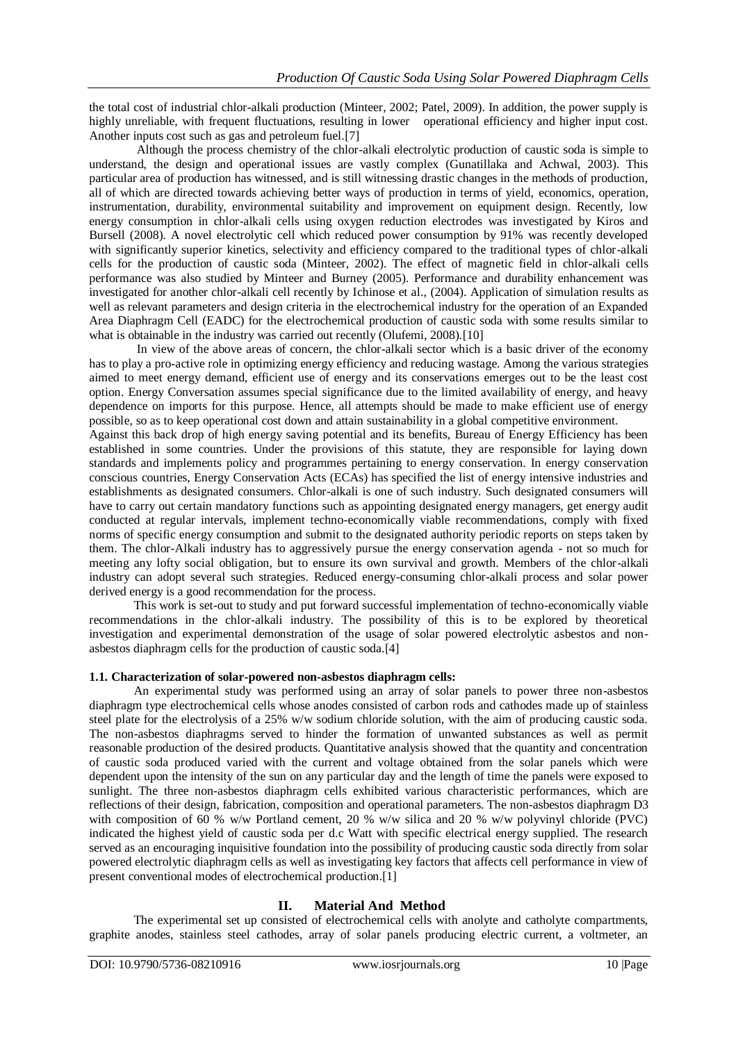the total cost of industrial chlor-alkali production (Minteer, 2002; Patel, 2009). In addition, the power supply is highly unreliable, with frequent fluctuations, resulting in lower operational efficiency and higher input cost. Another inputs cost such as gas and petroleum fuel.[7]

Although the process chemistry of the chlor-alkali electrolytic production of caustic soda is simple to understand, the design and operational issues are vastly complex (Gunatillaka and Achwal, 2003). This particular area of production has witnessed, and is still witnessing drastic changes in the methods of production, all of which are directed towards achieving better ways of production in terms of yield, economics, operation, instrumentation, durability, environmental suitability and improvement on equipment design. Recently, low energy consumption in chlor-alkali cells using oxygen reduction electrodes was investigated by Kiros and Bursell (2008). A novel electrolytic cell which reduced power consumption by 91% was recently developed with significantly superior kinetics, selectivity and efficiency compared to the traditional types of chlor-alkali cells for the production of caustic soda (Minteer, 2002). The effect of magnetic field in chlor-alkali cells performance was also studied by Minteer and Burney (2005). Performance and durability enhancement was investigated for another chlor-alkali cell recently by Ichinose et al., (2004). Application of simulation results as well as relevant parameters and design criteria in the electrochemical industry for the operation of an Expanded Area Diaphragm Cell (EADC) for the electrochemical production of caustic soda with some results similar to what is obtainable in the industry was carried out recently (Olufemi, 2008).<sup>[10]</sup>

In view of the above areas of concern, the chlor-alkali sector which is a basic driver of the economy has to play a pro-active role in optimizing energy efficiency and reducing wastage. Among the various strategies aimed to meet energy demand, efficient use of energy and its conservations emerges out to be the least cost option. Energy Conversation assumes special significance due to the limited availability of energy, and heavy dependence on imports for this purpose. Hence, all attempts should be made to make efficient use of energy possible, so as to keep operational cost down and attain sustainability in a global competitive environment. Against this back drop of high energy saving potential and its benefits, Bureau of Energy Efficiency has been established in some countries. Under the provisions of this statute, they are responsible for laying down standards and implements policy and programmes pertaining to energy conservation. In energy conservation conscious countries, Energy Conservation Acts (ECAs) has specified the list of energy intensive industries and establishments as designated consumers. Chlor-alkali is one of such industry. Such designated consumers will have to carry out certain mandatory functions such as appointing designated energy managers, get energy audit conducted at regular intervals, implement techno-economically viable recommendations, comply with fixed norms of specific energy consumption and submit to the designated authority periodic reports on steps taken by them. The chlor-Alkali industry has to aggressively pursue the energy conservation agenda - not so much for meeting any lofty social obligation, but to ensure its own survival and growth. Members of the chlor-alkali industry can adopt several such strategies. Reduced energy-consuming chlor-alkali process and solar power derived energy is a good recommendation for the process.

This work is set-out to study and put forward successful implementation of techno-economically viable recommendations in the chlor-alkali industry. The possibility of this is to be explored by theoretical investigation and experimental demonstration of the usage of solar powered electrolytic asbestos and nonasbestos diaphragm cells for the production of caustic soda.[4]

# **1.1. Characterization of solar-powered non-asbestos diaphragm cells:**

An experimental study was performed using an array of solar panels to power three non-asbestos diaphragm type electrochemical cells whose anodes consisted of carbon rods and cathodes made up of stainless steel plate for the electrolysis of a 25% w/w sodium chloride solution, with the aim of producing caustic soda. The non-asbestos diaphragms served to hinder the formation of unwanted substances as well as permit reasonable production of the desired products. Quantitative analysis showed that the quantity and concentration of caustic soda produced varied with the current and voltage obtained from the solar panels which were dependent upon the intensity of the sun on any particular day and the length of time the panels were exposed to sunlight. The three non-asbestos diaphragm cells exhibited various characteristic performances, which are reflections of their design, fabrication, composition and operational parameters. The non-asbestos diaphragm D3 with composition of 60 % w/w Portland cement, 20 % w/w silica and 20 % w/w polyvinyl chloride (PVC) indicated the highest yield of caustic soda per d.c Watt with specific electrical energy supplied. The research served as an encouraging inquisitive foundation into the possibility of producing caustic soda directly from solar powered electrolytic diaphragm cells as well as investigating key factors that affects cell performance in view of present conventional modes of electrochemical production.[1]

# **II. Material And Method**

The experimental set up consisted of electrochemical cells with anolyte and catholyte compartments, graphite anodes, stainless steel cathodes, array of solar panels producing electric current, a voltmeter, an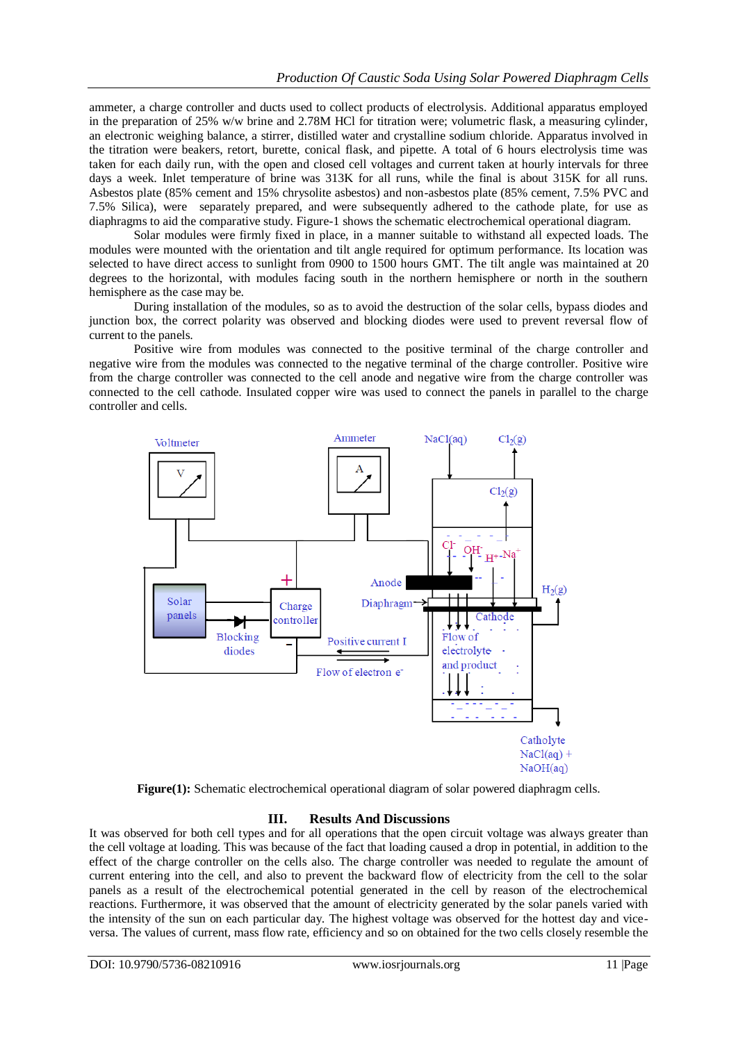ammeter, a charge controller and ducts used to collect products of electrolysis. Additional apparatus employed in the preparation of 25% w/w brine and 2.78M HCl for titration were; volumetric flask, a measuring cylinder, an electronic weighing balance, a stirrer, distilled water and crystalline sodium chloride. Apparatus involved in the titration were beakers, retort, burette, conical flask, and pipette. A total of 6 hours electrolysis time was taken for each daily run, with the open and closed cell voltages and current taken at hourly intervals for three days a week. Inlet temperature of brine was 313K for all runs, while the final is about 315K for all runs. Asbestos plate (85% cement and 15% chrysolite asbestos) and non-asbestos plate (85% cement, 7.5% PVC and 7.5% Silica), were separately prepared, and were subsequently adhered to the cathode plate, for use as diaphragms to aid the comparative study. Figure-1 shows the schematic electrochemical operational diagram.

Solar modules were firmly fixed in place, in a manner suitable to withstand all expected loads. The modules were mounted with the orientation and tilt angle required for optimum performance. Its location was selected to have direct access to sunlight from 0900 to 1500 hours GMT. The tilt angle was maintained at 20 degrees to the horizontal, with modules facing south in the northern hemisphere or north in the southern hemisphere as the case may be.

During installation of the modules, so as to avoid the destruction of the solar cells, bypass diodes and junction box, the correct polarity was observed and blocking diodes were used to prevent reversal flow of current to the panels.

Positive wire from modules was connected to the positive terminal of the charge controller and negative wire from the modules was connected to the negative terminal of the charge controller. Positive wire from the charge controller was connected to the cell anode and negative wire from the charge controller was connected to the cell cathode. Insulated copper wire was used to connect the panels in parallel to the charge controller and cells.



**Figure(1):** Schematic electrochemical operational diagram of solar powered diaphragm cells.

# **III. Results And Discussions**

It was observed for both cell types and for all operations that the open circuit voltage was always greater than the cell voltage at loading. This was because of the fact that loading caused a drop in potential, in addition to the effect of the charge controller on the cells also. The charge controller was needed to regulate the amount of current entering into the cell, and also to prevent the backward flow of electricity from the cell to the solar panels as a result of the electrochemical potential generated in the cell by reason of the electrochemical reactions. Furthermore, it was observed that the amount of electricity generated by the solar panels varied with the intensity of the sun on each particular day. The highest voltage was observed for the hottest day and viceversa. The values of current, mass flow rate, efficiency and so on obtained for the two cells closely resemble the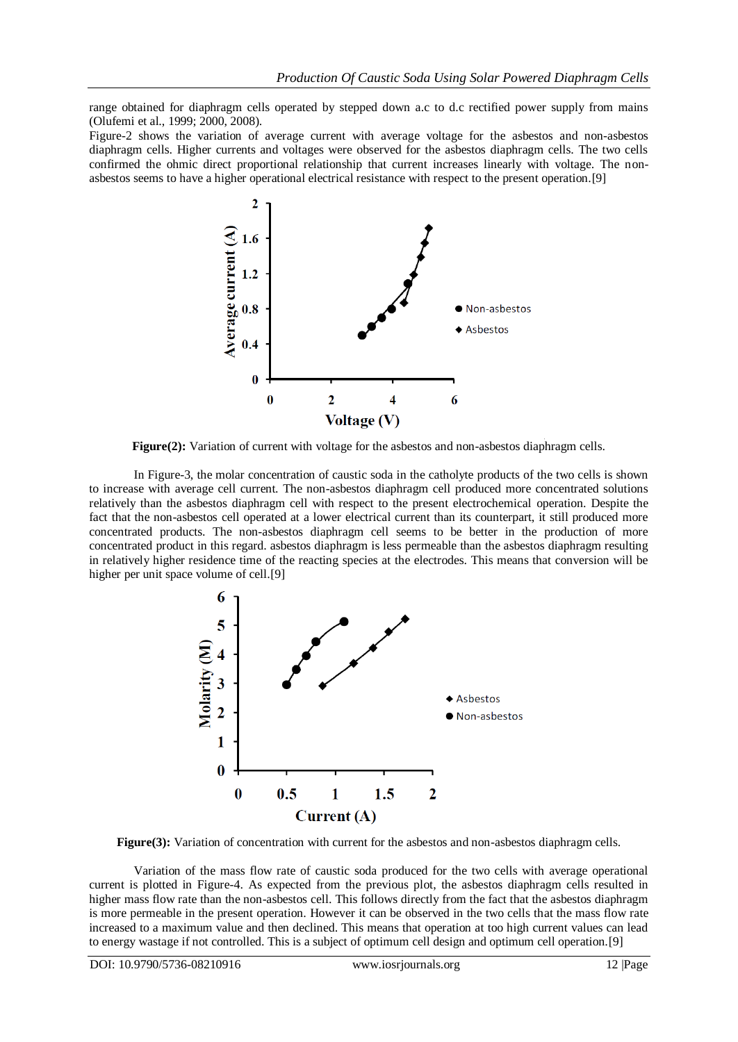range obtained for diaphragm cells operated by stepped down a.c to d.c rectified power supply from mains (Olufemi et al., 1999; 2000, 2008).

Figure-2 shows the variation of average current with average voltage for the asbestos and non-asbestos diaphragm cells. Higher currents and voltages were observed for the asbestos diaphragm cells. The two cells confirmed the ohmic direct proportional relationship that current increases linearly with voltage. The nonasbestos seems to have a higher operational electrical resistance with respect to the present operation.[9]



**Figure(2):** Variation of current with voltage for the asbestos and non-asbestos diaphragm cells.

In Figure-3, the molar concentration of caustic soda in the catholyte products of the two cells is shown to increase with average cell current. The non-asbestos diaphragm cell produced more concentrated solutions relatively than the asbestos diaphragm cell with respect to the present electrochemical operation. Despite the fact that the non-asbestos cell operated at a lower electrical current than its counterpart, it still produced more concentrated products. The non-asbestos diaphragm cell seems to be better in the production of more concentrated product in this regard. asbestos diaphragm is less permeable than the asbestos diaphragm resulting in relatively higher residence time of the reacting species at the electrodes. This means that conversion will be higher per unit space volume of cell.[9]



**Figure(3):** Variation of concentration with current for the asbestos and non-asbestos diaphragm cells.

Variation of the mass flow rate of caustic soda produced for the two cells with average operational current is plotted in Figure-4. As expected from the previous plot, the asbestos diaphragm cells resulted in higher mass flow rate than the non-asbestos cell. This follows directly from the fact that the asbestos diaphragm is more permeable in the present operation. However it can be observed in the two cells that the mass flow rate increased to a maximum value and then declined. This means that operation at too high current values can lead to energy wastage if not controlled. This is a subject of optimum cell design and optimum cell operation.[9]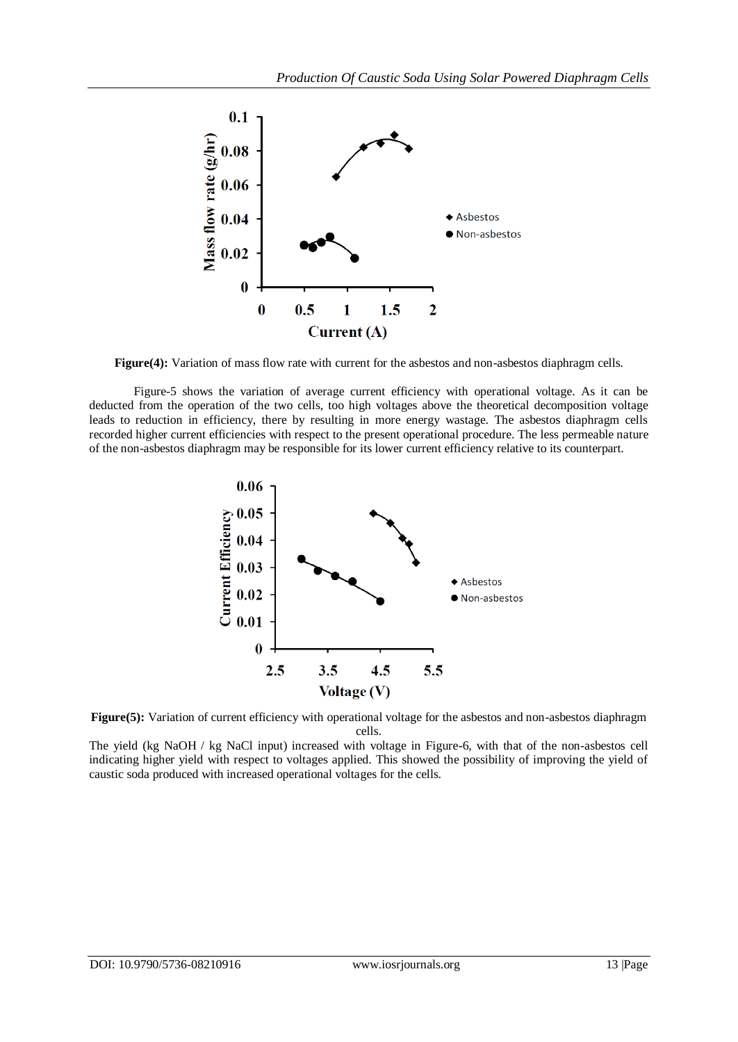

**Figure(4):** Variation of mass flow rate with current for the asbestos and non-asbestos diaphragm cells.

Figure-5 shows the variation of average current efficiency with operational voltage. As it can be deducted from the operation of the two cells, too high voltages above the theoretical decomposition voltage leads to reduction in efficiency, there by resulting in more energy wastage. The asbestos diaphragm cells recorded higher current efficiencies with respect to the present operational procedure. The less permeable nature of the non-asbestos diaphragm may be responsible for its lower current efficiency relative to its counterpart.





The yield (kg NaOH / kg NaCl input) increased with voltage in Figure-6, with that of the non-asbestos cell indicating higher yield with respect to voltages applied. This showed the possibility of improving the yield of caustic soda produced with increased operational voltages for the cells.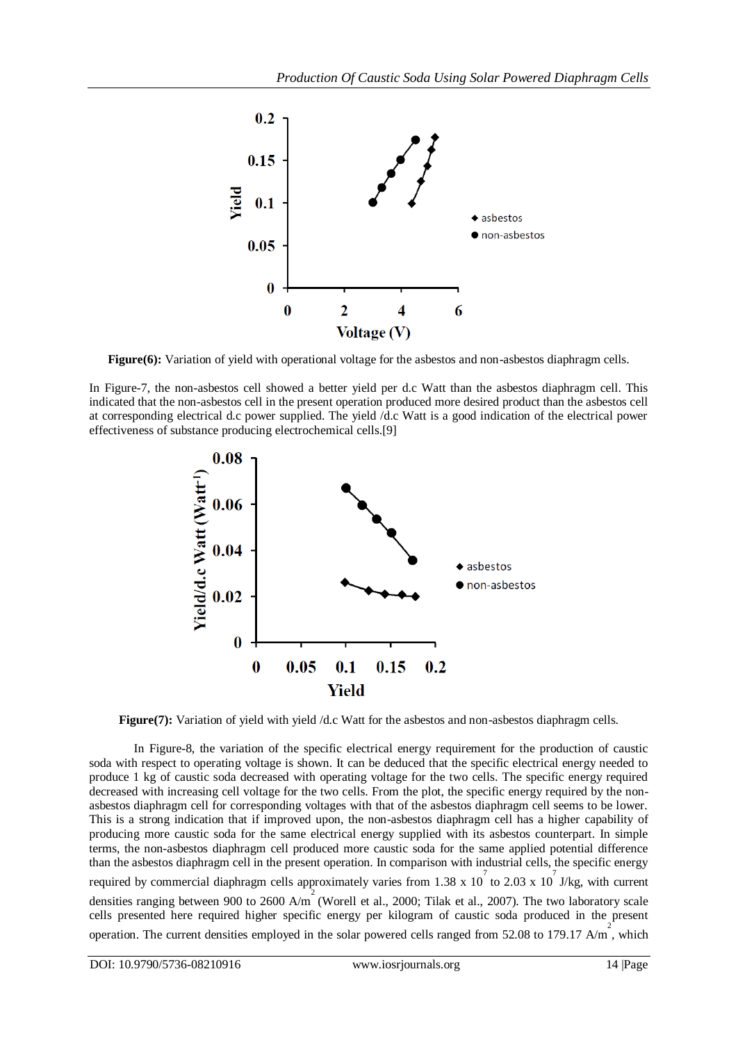

**Figure(6):** Variation of yield with operational voltage for the asbestos and non-asbestos diaphragm cells.

In Figure-7, the non-asbestos cell showed a better yield per d.c Watt than the asbestos diaphragm cell. This indicated that the non-asbestos cell in the present operation produced more desired product than the asbestos cell at corresponding electrical d.c power supplied. The yield /d.c Watt is a good indication of the electrical power effectiveness of substance producing electrochemical cells.[9]



**Figure(7):** Variation of yield with yield /d.c Watt for the asbestos and non-asbestos diaphragm cells.

In Figure-8, the variation of the specific electrical energy requirement for the production of caustic soda with respect to operating voltage is shown. It can be deduced that the specific electrical energy needed to produce 1 kg of caustic soda decreased with operating voltage for the two cells. The specific energy required decreased with increasing cell voltage for the two cells. From the plot, the specific energy required by the nonasbestos diaphragm cell for corresponding voltages with that of the asbestos diaphragm cell seems to be lower. This is a strong indication that if improved upon, the non-asbestos diaphragm cell has a higher capability of producing more caustic soda for the same electrical energy supplied with its asbestos counterpart. In simple terms, the non-asbestos diaphragm cell produced more caustic soda for the same applied potential difference than the asbestos diaphragm cell in the present operation. In comparison with industrial cells, the specific energy required by commercial diaphragm cells approximately varies from 1.38 x 10<sup>7</sup> to 2.03 x 10<sup>7</sup> J/kg, with current densities ranging between 900 to 2600 A/m (Worell et al., 2000; Tilak et al., 2007). The two laboratory scale cells presented here required higher specific energy per kilogram of caustic soda produced in the present operation. The current densities employed in the solar powered cells ranged from 52.08 to 179.17 A/m<sup>2</sup>, which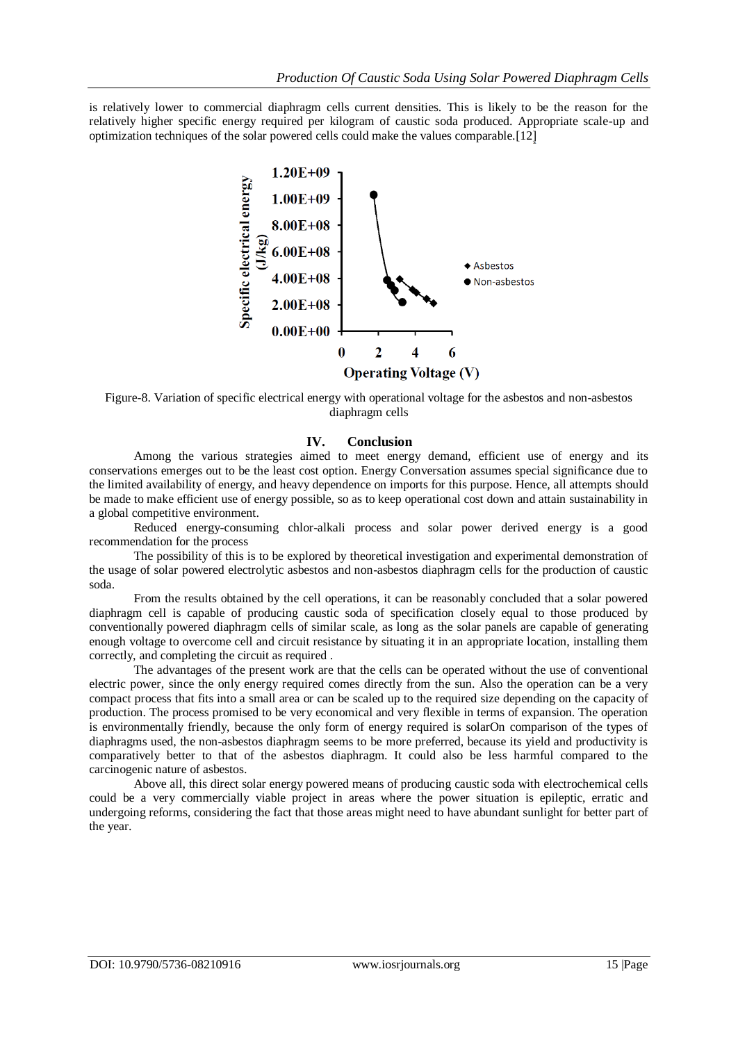is relatively lower to commercial diaphragm cells current densities. This is likely to be the reason for the relatively higher specific energy required per kilogram of caustic soda produced. Appropriate scale-up and optimization techniques of the solar powered cells could make the values comparable.[12]



Figure-8. Variation of specific electrical energy with operational voltage for the asbestos and non-asbestos diaphragm cells

#### **IV. Conclusion**

Among the various strategies aimed to meet energy demand, efficient use of energy and its conservations emerges out to be the least cost option. Energy Conversation assumes special significance due to the limited availability of energy, and heavy dependence on imports for this purpose. Hence, all attempts should be made to make efficient use of energy possible, so as to keep operational cost down and attain sustainability in a global competitive environment.

Reduced energy-consuming chlor-alkali process and solar power derived energy is a good recommendation for the process

The possibility of this is to be explored by theoretical investigation and experimental demonstration of the usage of solar powered electrolytic asbestos and non-asbestos diaphragm cells for the production of caustic soda.

From the results obtained by the cell operations, it can be reasonably concluded that a solar powered diaphragm cell is capable of producing caustic soda of specification closely equal to those produced by conventionally powered diaphragm cells of similar scale, as long as the solar panels are capable of generating enough voltage to overcome cell and circuit resistance by situating it in an appropriate location, installing them correctly, and completing the circuit as required .

The advantages of the present work are that the cells can be operated without the use of conventional electric power, since the only energy required comes directly from the sun. Also the operation can be a very compact process that fits into a small area or can be scaled up to the required size depending on the capacity of production. The process promised to be very economical and very flexible in terms of expansion. The operation is environmentally friendly, because the only form of energy required is solarOn comparison of the types of diaphragms used, the non-asbestos diaphragm seems to be more preferred, because its yield and productivity is comparatively better to that of the asbestos diaphragm. It could also be less harmful compared to the carcinogenic nature of asbestos.

Above all, this direct solar energy powered means of producing caustic soda with electrochemical cells could be a very commercially viable project in areas where the power situation is epileptic, erratic and undergoing reforms, considering the fact that those areas might need to have abundant sunlight for better part of the year.